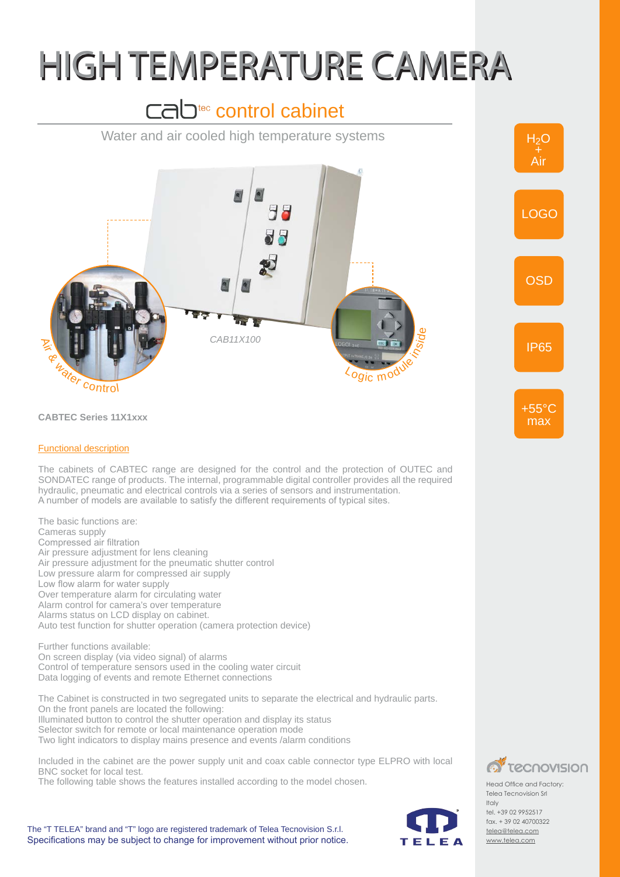## HIGH TEMPERATURE CAMERA

## cab<sup>tec</sup> control cabinet



The "T TELEA" brand and "T" logo are registered trademark of Telea Tecnovision S.r.l. Specifications may be subject to change for improvement without prior notice.



telea@telea.com www.telea.com